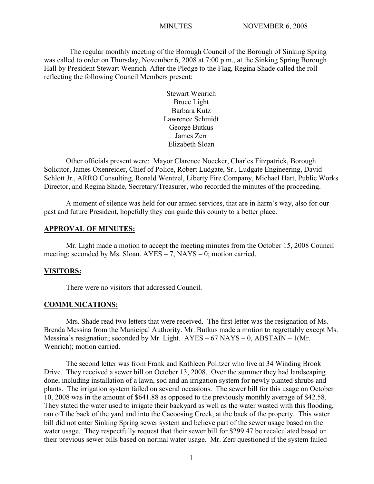The regular monthly meeting of the Borough Council of the Borough of Sinking Spring was called to order on Thursday, November 6, 2008 at 7:00 p.m., at the Sinking Spring Borough Hall by President Stewart Wenrich. After the Pledge to the Flag, Regina Shade called the roll reflecting the following Council Members present:

> Stewart Wenrich Bruce Light Barbara Kutz Lawrence Schmidt George Butkus James Zerr Elizabeth Sloan

Other officials present were: Mayor Clarence Noecker, Charles Fitzpatrick, Borough Solicitor, James Oxenreider, Chief of Police, Robert Ludgate, Sr., Ludgate Engineering, David Schlott Jr., ARRO Consulting, Ronald Wentzel, Liberty Fire Company, Michael Hart, Public Works Director, and Regina Shade, Secretary/Treasurer, who recorded the minutes of the proceeding.

A moment of silence was held for our armed services, that are in harm's way, also for our past and future President, hopefully they can guide this county to a better place.

#### **APPROVAL OF MINUTES:**

Mr. Light made a motion to accept the meeting minutes from the October 15, 2008 Council meeting; seconded by Ms. Sloan. AYES – 7, NAYS – 0; motion carried.

#### **VISITORS:**

There were no visitors that addressed Council.

#### **COMMUNICATIONS:**

Mrs. Shade read two letters that were received. The first letter was the resignation of Ms. Brenda Messina from the Municipal Authority. Mr. Butkus made a motion to regrettably except Ms. Messina's resignation; seconded by Mr. Light.  $AYES - 67$  NAYS – 0, ABSTAIN – 1(Mr. Wenrich); motion carried.

The second letter was from Frank and Kathleen Politzer who live at 34 Winding Brook Drive. They received a sewer bill on October 13, 2008. Over the summer they had landscaping done, including installation of a lawn, sod and an irrigation system for newly planted shrubs and plants. The irrigation system failed on several occasions. The sewer bill for this usage on October 10, 2008 was in the amount of \$641.88 as opposed to the previously monthly average of \$42.58. They stated the water used to irrigate their backyard as well as the water wasted with this flooding, ran off the back of the yard and into the Cacoosing Creek, at the back of the property. This water bill did not enter Sinking Spring sewer system and believe part of the sewer usage based on the water usage. They respectfully request that their sewer bill for \$299.47 be recalculated based on their previous sewer bills based on normal water usage. Mr. Zerr questioned if the system failed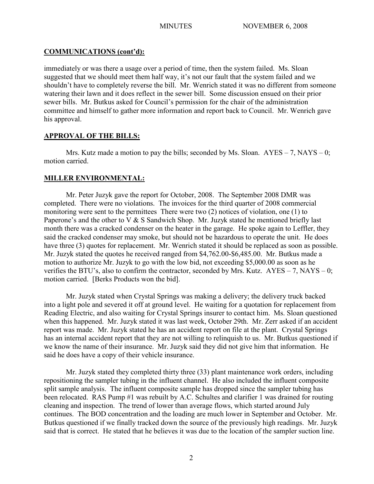# **COMMUNICATIONS (cont'd):**

immediately or was there a usage over a period of time, then the system failed. Ms. Sloan suggested that we should meet them half way, it's not our fault that the system failed and we shouldn't have to completely reverse the bill. Mr. Wenrich stated it was no different from someone watering their lawn and it does reflect in the sewer bill. Some discussion ensued on their prior sewer bills. Mr. Butkus asked for Council's permission for the chair of the administration committee and himself to gather more information and report back to Council. Mr. Wenrich gave his approval.

# **APPROVAL OF THE BILLS:**

Mrs. Kutz made a motion to pay the bills; seconded by Ms. Sloan.  $AYES - 7$ ,  $NAYS - 0$ ; motion carried.

# **MILLER ENVIRONMENTAL:**

Mr. Peter Juzyk gave the report for October, 2008. The September 2008 DMR was completed. There were no violations. The invoices for the third quarter of 2008 commercial monitoring were sent to the permittees There were two (2) notices of violation, one (1) to Paperone's and the other to V & S Sandwich Shop. Mr. Juzyk stated he mentioned briefly last month there was a cracked condenser on the heater in the garage. He spoke again to Leffler, they said the cracked condenser may smoke, but should not be hazardous to operate the unit. He does have three (3) quotes for replacement. Mr. Wenrich stated it should be replaced as soon as possible. Mr. Juzyk stated the quotes he received ranged from \$4,762.00-\$6,485.00. Mr. Butkus made a motion to authorize Mr. Juzyk to go with the low bid, not exceeding \$5,000.00 as soon as he verifies the BTU's, also to confirm the contractor, seconded by Mrs. Kutz.  $AYES - 7$ , NAYS – 0; motion carried. [Berks Products won the bid].

Mr. Juzyk stated when Crystal Springs was making a delivery; the delivery truck backed into a light pole and severed it off at ground level. He waiting for a quotation for replacement from Reading Electric, and also waiting for Crystal Springs insurer to contact him. Ms. Sloan questioned when this happened. Mr. Juzyk stated it was last week, October 29th. Mr. Zerr asked if an accident report was made. Mr. Juzyk stated he has an accident report on file at the plant. Crystal Springs has an internal accident report that they are not willing to relinquish to us. Mr. Butkus questioned if we know the name of their insurance. Mr. Juzyk said they did not give him that information. He said he does have a copy of their vehicle insurance.

Mr. Juzyk stated they completed thirty three (33) plant maintenance work orders, including repositioning the sampler tubing in the influent channel. He also included the influent composite split sample analysis. The influent composite sample has dropped since the sampler tubing has been relocated. RAS Pump #1 was rebuilt by A.C. Schultes and clarifier 1 was drained for routing cleaning and inspection. The trend of lower than average flows, which started around July continues. The BOD concentration and the loading are much lower in September and October. Mr. Butkus questioned if we finally tracked down the source of the previously high readings. Mr. Juzyk said that is correct. He stated that he believes it was due to the location of the sampler suction line.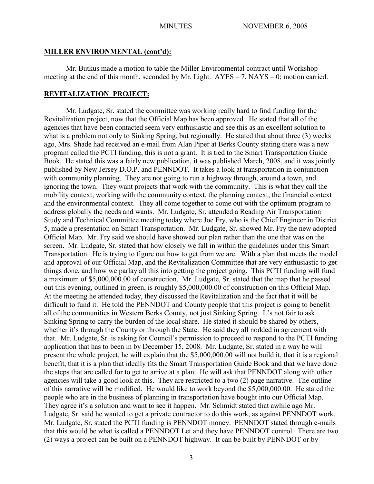#### **MILLER ENVIRONMENTAL (cont'd):**

Mr. Butkus made a motion to table the Miller Environmental contract until Workshop meeting at the end of this month, seconded by Mr. Light.  $AYES - 7$ ,  $NAYS - 0$ ; motion carried.

#### **REVITALIZATION PROJECT:**

Mr. Ludgate, Sr. stated the committee was working really hard to find funding for the Revitalization project, now that the Official Map has been approved. He stated that all of the agencies that have been contacted seem very enthusiastic and see this as an excellent solution to what is a problem not only to Sinking Spring, but regionally. He stated that about three (3) weeks ago, Mrs. Shade had received an e-mail from Alan Piper at Berks County stating there was a new program called the PCTI funding, this is not a grant. It is tied to the Smart Transportation Guide Book. He stated this was a fairly new publication, it was published March, 2008, and it was jointly published by New Jersey D.O.P. and PENNDOT. It takes a look at transportation in conjunction with community planning. They are not going to run a highway through, around a town, and ignoring the town. They want projects that work with the community. This is what they call the mobility context, working with the community context, the planning context, the financial context and the environmental context. They all come together to come out with the optimum program to address globally the needs and wants. Mr. Ludgate, Sr. attended a Reading Air Transportation Study and Technical Committee meeting today where Joe Fry, who is the Chief Engineer in District 5, made a presentation on Smart Transportation. Mr. Ludgate, Sr. showed Mr. Fry the new adopted Official Map. Mr. Fry said we should have showed our plan rather than the one that was on the screen. Mr. Ludgate, Sr. stated that how closely we fall in within the guidelines under this Smart Transportation. He is trying to figure out how to get from we are. With a plan that meets the model and approval of our Official Map, and the Revitalization Committee that are very enthusiastic to get things done, and how we parlay all this into getting the project going. This PCTI funding will fund a maximum of \$5,000,000.00 of construction. Mr. Ludgate, Sr. stated that the map that he passed out this evening, outlined in green, is roughly \$5,000,000.00 of construction on this Official Map. At the meeting he attended today, they discussed the Revitalization and the fact that it will be difficult to fund it. He told the PENNDOT and County people that this project is going to benefit all of the communities in Western Berks County, not just Sinking Spring. It's not fair to ask Sinking Spring to carry the burden of the local share. He stated it should be shared by others, whether it's through the County or through the State. He said they all nodded in agreement with that. Mr. Ludgate, Sr. is asking for Council's permission to proceed to respond to the PCTI funding application that has to been in by December 15, 2008. Mr. Ludgate, Sr. stated in a way he will present the whole project, he will explain that the \$5,000,000.00 will not build it, that it is a regional benefit, that it is a plan that ideally fits the Smart Transportation Guide Book and that we have done the steps that are called for to get to arrive at a plan. He will ask that PENNDOT along with other agencies will take a good look at this. They are restricted to a two (2) page narrative. The outline of this narrative will be modified. He would like to work beyond the \$5,000,000.00. He stated the people who are in the business of planning in transportation have bought into our Official Map. They agree it's a solution and want to see it happen. Mr. Schmidt stated that awhile ago Mr. Ludgate, Sr. said he wanted to get a private contractor to do this work, as against PENNDOT work. Mr. Ludgate, Sr. stated the PCTI funding is PENNDOT money. PENNDOT stated through e-mails that this would be what is called a PENNDOT Let and they have PENNDOT control. There are two (2) ways a project can be built on a PENNDOT highway. It can be built by PENNDOT or by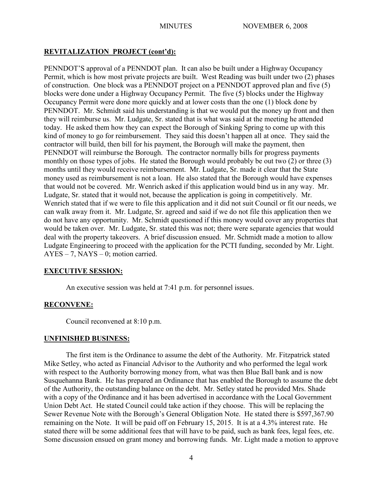# **REVITALIZATION PROJECT (cont'd):**

PENNDOT'S approval of a PENNDOT plan. It can also be built under a Highway Occupancy Permit, which is how most private projects are built. West Reading was built under two (2) phases of construction. One block was a PENNDOT project on a PENNDOT approved plan and five (5) blocks were done under a Highway Occupancy Permit. The five (5) blocks under the Highway Occupancy Permit were done more quickly and at lower costs than the one (1) block done by PENNDOT. Mr. Schmidt said his understanding is that we would put the money up front and then they will reimburse us. Mr. Ludgate, Sr. stated that is what was said at the meeting he attended today. He asked them how they can expect the Borough of Sinking Spring to come up with this kind of money to go for reimbursement. They said this doesn't happen all at once. They said the contractor will build, then bill for his payment, the Borough will make the payment, then PENNDOT will reimburse the Borough. The contractor normally bills for progress payments monthly on those types of jobs. He stated the Borough would probably be out two (2) or three (3) months until they would receive reimbursement. Mr. Ludgate, Sr. made it clear that the State money used as reimbursement is not a loan. He also stated that the Borough would have expenses that would not be covered. Mr. Wenrich asked if this application would bind us in any way. Mr. Ludgate, Sr. stated that it would not, because the application is going in competitively. Mr. Wenrich stated that if we were to file this application and it did not suit Council or fit our needs, we can walk away from it. Mr. Ludgate, Sr. agreed and said if we do not file this application then we do not have any opportunity. Mr. Schmidt questioned if this money would cover any properties that would be taken over. Mr. Ludgate, Sr. stated this was not; there were separate agencies that would deal with the property takeovers. A brief discussion ensued. Mr. Schmidt made a motion to allow Ludgate Engineering to proceed with the application for the PCTI funding, seconded by Mr. Light. AYES – 7, NAYS – 0; motion carried.

# **EXECUTIVE SESSION:**

An executive session was held at 7:41 p.m. for personnel issues.

# **RECONVENE:**

Council reconvened at 8:10 p.m.

# **UNFINISHED BUSINESS:**

The first item is the Ordinance to assume the debt of the Authority. Mr. Fitzpatrick stated Mike Setley, who acted as Financial Advisor to the Authority and who performed the legal work with respect to the Authority borrowing money from, what was then Blue Ball bank and is now Susquehanna Bank. He has prepared an Ordinance that has enabled the Borough to assume the debt of the Authority, the outstanding balance on the debt. Mr. Setley stated he provided Mrs. Shade with a copy of the Ordinance and it has been advertised in accordance with the Local Government Union Debt Act. He stated Council could take action if they choose. This will be replacing the Sewer Revenue Note with the Borough's General Obligation Note. He stated there is \$597,367.90 remaining on the Note. It will be paid off on February 15, 2015. It is at a 4.3% interest rate. He stated there will be some additional fees that will have to be paid, such as bank fees, legal fees, etc. Some discussion ensued on grant money and borrowing funds. Mr. Light made a motion to approve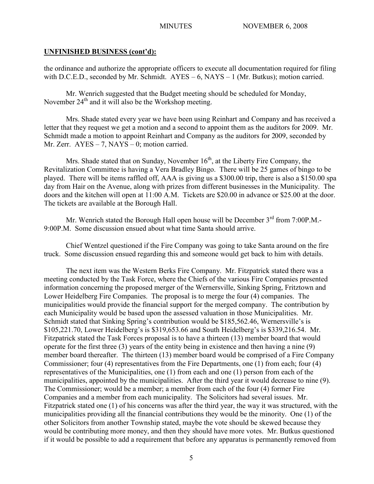### **UNFINISHED BUSINESS (cont'd):**

the ordinance and authorize the appropriate officers to execute all documentation required for filing with D.C.E.D., seconded by Mr. Schmidt.  $AYES - 6$ ,  $NAYS - 1$  (Mr. Butkus); motion carried.

Mr. Wenrich suggested that the Budget meeting should be scheduled for Monday, November  $24<sup>th</sup>$  and it will also be the Workshop meeting.

Mrs. Shade stated every year we have been using Reinhart and Company and has received a letter that they request we get a motion and a second to appoint them as the auditors for 2009. Mr. Schmidt made a motion to appoint Reinhart and Company as the auditors for 2009, seconded by Mr. Zerr. AYES – 7, NAYS – 0; motion carried.

Mrs. Shade stated that on Sunday, November  $16<sup>th</sup>$ , at the Liberty Fire Company, the Revitalization Committee is having a Vera Bradley Bingo. There will be 25 games of bingo to be played. There will be items raffled off, AAA is giving us a \$300.00 trip, there is also a \$150.00 spa day from Hair on the Avenue, along with prizes from different businesses in the Municipality. The doors and the kitchen will open at 11:00 A.M. Tickets are \$20.00 in advance or \$25.00 at the door. The tickets are available at the Borough Hall.

Mr. Wenrich stated the Borough Hall open house will be December 3<sup>rd</sup> from 7:00P.M.-9:00P.M. Some discussion ensued about what time Santa should arrive.

Chief Wentzel questioned if the Fire Company was going to take Santa around on the fire truck. Some discussion ensued regarding this and someone would get back to him with details.

The next item was the Western Berks Fire Company. Mr. Fitzpatrick stated there was a meeting conducted by the Task Force, where the Chiefs of the various Fire Companies presented information concerning the proposed merger of the Wernersville, Sinking Spring, Fritztown and Lower Heidelberg Fire Companies. The proposal is to merge the four (4) companies. The municipalities would provide the financial support for the merged company. The contribution by each Municipality would be based upon the assessed valuation in those Municipalities. Mr. Schmidt stated that Sinking Spring's contribution would be \$185,562.46, Wernersville's is \$105,221.70, Lower Heidelberg's is \$319,653.66 and South Heidelberg's is \$339,216.54. Mr. Fitzpatrick stated the Task Forces proposal is to have a thirteen (13) member board that would operate for the first three (3) years of the entity being in existence and then having a nine (9) member board thereafter. The thirteen (13) member board would be comprised of a Fire Company Commissioner; four (4) representatives from the Fire Departments, one (1) from each; four (4) representatives of the Municipalities, one (1) from each and one (1) person from each of the municipalities, appointed by the municipalities. After the third year it would decrease to nine (9). The Commissioner; would be a member; a member from each of the four (4) former Fire Companies and a member from each municipality. The Solicitors had several issues. Mr. Fitzpatrick stated one (1) of his concerns was after the third year, the way it was structured, with the municipalities providing all the financial contributions they would be the minority. One (1) of the other Solicitors from another Township stated, maybe the vote should be skewed because they would be contributing more money, and then they should have more votes. Mr. Butkus questioned if it would be possible to add a requirement that before any apparatus is permanently removed from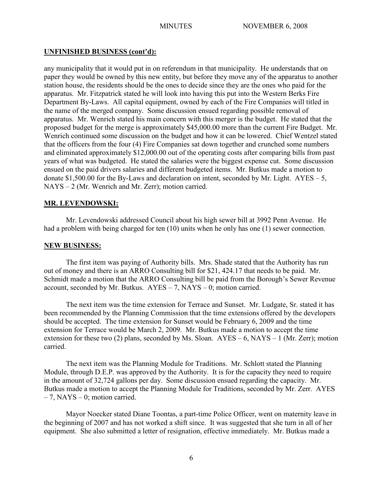# **UNFINISHED BUSINESS (cont'd):**

any municipality that it would put in on referendum in that municipality. He understands that on paper they would be owned by this new entity, but before they move any of the apparatus to another station house, the residents should be the ones to decide since they are the ones who paid for the apparatus. Mr. Fitzpatrick stated he will look into having this put into the Western Berks Fire Department By-Laws. All capital equipment, owned by each of the Fire Companies will titled in the name of the merged company. Some discussion ensued regarding possible removal of apparatus. Mr. Wenrich stated his main concern with this merger is the budget. He stated that the proposed budget for the merge is approximately \$45,000.00 more than the current Fire Budget. Mr. Wenrich continued some discussion on the budget and how it can be lowered. Chief Wentzel stated that the officers from the four (4) Fire Companies sat down together and crunched some numbers and eliminated approximately \$12,000.00 out of the operating costs after comparing bills from past years of what was budgeted. He stated the salaries were the biggest expense cut. Some discussion ensued on the paid drivers salaries and different budgeted items. Mr. Butkus made a motion to donate  $$1,500.00$  for the By-Laws and declaration on intent, seconded by Mr. Light. AYES – 5, NAYS – 2 (Mr. Wenrich and Mr. Zerr); motion carried.

# **MR. LEVENDOWSKI:**

Mr. Levendowski addressed Council about his high sewer bill at 3992 Penn Avenue. He had a problem with being charged for ten (10) units when he only has one (1) sewer connection.

### **NEW BUSINESS:**

The first item was paying of Authority bills. Mrs. Shade stated that the Authority has run out of money and there is an ARRO Consulting bill for \$21, 424.17 that needs to be paid. Mr. Schmidt made a motion that the ARRO Consulting bill be paid from the Borough's Sewer Revenue account, seconded by Mr. Butkus.  $AYES - 7$ ,  $NAYS - 0$ ; motion carried.

The next item was the time extension for Terrace and Sunset. Mr. Ludgate, Sr. stated it has been recommended by the Planning Commission that the time extensions offered by the developers should be accepted. The time extension for Sunset would be February 6, 2009 and the time extension for Terrace would be March 2, 2009. Mr. Butkus made a motion to accept the time extension for these two (2) plans, seconded by Ms. Sloan.  $AYES - 6$ ,  $NAYS - 1$  (Mr. Zerr); motion carried.

The next item was the Planning Module for Traditions. Mr. Schlott stated the Planning Module, through D.E.P. was approved by the Authority. It is for the capacity they need to require in the amount of 32,724 gallons per day. Some discussion ensued regarding the capacity. Mr. Butkus made a motion to accept the Planning Module for Traditions, seconded by Mr. Zerr. AYES – 7, NAYS – 0; motion carried.

Mayor Noecker stated Diane Toontas, a part-time Police Officer, went on maternity leave in the beginning of 2007 and has not worked a shift since. It was suggested that she turn in all of her equipment. She also submitted a letter of resignation, effective immediately. Mr. Butkus made a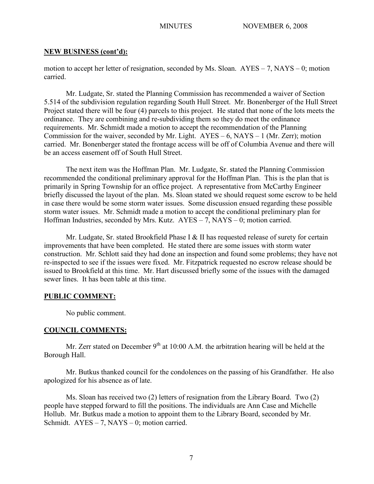#### **NEW BUSINESS (cont'd):**

motion to accept her letter of resignation, seconded by Ms. Sloan. AYES – 7, NAYS – 0; motion carried.

Mr. Ludgate, Sr. stated the Planning Commission has recommended a waiver of Section 5.514 of the subdivision regulation regarding South Hull Street. Mr. Bonenberger of the Hull Street Project stated there will be four (4) parcels to this project. He stated that none of the lots meets the ordinance. They are combining and re-subdividing them so they do meet the ordinance requirements. Mr. Schmidt made a motion to accept the recommendation of the Planning Commission for the waiver, seconded by Mr. Light.  $AYES - 6$ ,  $NAYS - 1$  (Mr. Zerr); motion carried. Mr. Bonenberger stated the frontage access will be off of Columbia Avenue and there will be an access easement off of South Hull Street.

The next item was the Hoffman Plan. Mr. Ludgate, Sr. stated the Planning Commission recommended the conditional preliminary approval for the Hoffman Plan. This is the plan that is primarily in Spring Township for an office project. A representative from McCarthy Engineer briefly discussed the layout of the plan. Ms. Sloan stated we should request some escrow to be held in case there would be some storm water issues. Some discussion ensued regarding these possible storm water issues. Mr. Schmidt made a motion to accept the conditional preliminary plan for Hoffman Industries, seconded by Mrs. Kutz. AYES – 7, NAYS – 0; motion carried.

Mr. Ludgate, Sr. stated Brookfield Phase I & II has requested release of surety for certain improvements that have been completed. He stated there are some issues with storm water construction. Mr. Schlott said they had done an inspection and found some problems; they have not re-inspected to see if the issues were fixed. Mr. Fitzpatrick requested no escrow release should be issued to Brookfield at this time. Mr. Hart discussed briefly some of the issues with the damaged sewer lines. It has been table at this time.

### **PUBLIC COMMENT:**

No public comment.

### **COUNCIL COMMENTS:**

Mr. Zerr stated on December  $9<sup>th</sup>$  at 10:00 A.M. the arbitration hearing will be held at the Borough Hall.

Mr. Butkus thanked council for the condolences on the passing of his Grandfather. He also apologized for his absence as of late.

Ms. Sloan has received two (2) letters of resignation from the Library Board. Two (2) people have stepped forward to fill the positions. The individuals are Ann Case and Michelle Hollub. Mr. Butkus made a motion to appoint them to the Library Board, seconded by Mr. Schmidt.  $AYES - 7$ ,  $NAYS - 0$ ; motion carried.